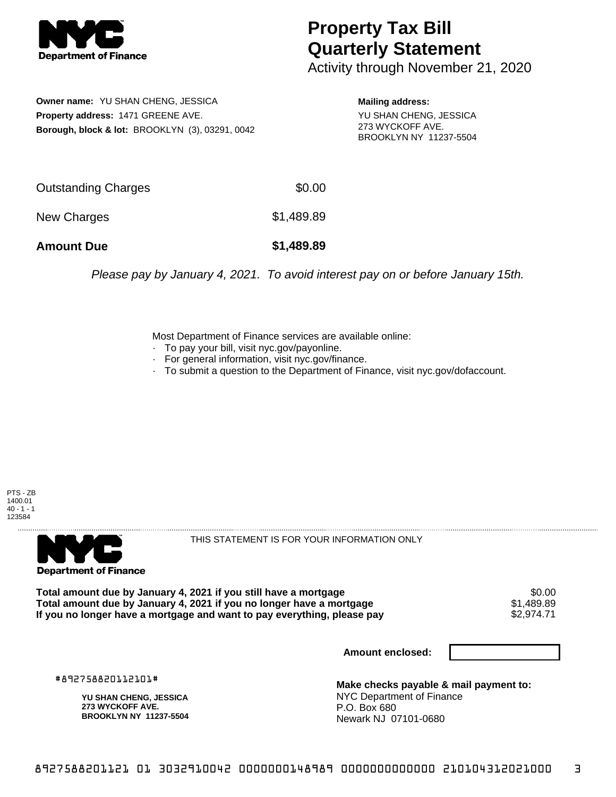

## **Property Tax Bill Quarterly Statement**

Activity through November 21, 2020

**Owner name:** YU SHAN CHENG, JESSICA **Property address:** 1471 GREENE AVE. **Borough, block & lot:** BROOKLYN (3), 03291, 0042

**Mailing address:** YU SHAN CHENG, JESSICA 273 WYCKOFF AVE. BROOKLYN NY 11237-5504

| <b>Amount Due</b>   | \$1,489.89 |
|---------------------|------------|
| New Charges         | \$1,489.89 |
| Outstanding Charges | \$0.00     |

Please pay by January 4, 2021. To avoid interest pay on or before January 15th.

Most Department of Finance services are available online:

- · To pay your bill, visit nyc.gov/payonline.
- For general information, visit nyc.gov/finance.
- · To submit a question to the Department of Finance, visit nyc.gov/dofaccount.





THIS STATEMENT IS FOR YOUR INFORMATION ONLY

Total amount due by January 4, 2021 if you still have a mortgage \$0.00<br>Total amount due by January 4, 2021 if you no longer have a mortgage \$1.489.89 **Total amount due by January 4, 2021 if you no longer have a mortgage**  $$1,489.89$$ **<br>If you no longer have a mortgage and want to pay everything, please pay**  $$2,974.71$$ If you no longer have a mortgage and want to pay everything, please pay

**Amount enclosed:**

#892758820112101#

**YU SHAN CHENG, JESSICA 273 WYCKOFF AVE. BROOKLYN NY 11237-5504**

**Make checks payable & mail payment to:** NYC Department of Finance P.O. Box 680 Newark NJ 07101-0680